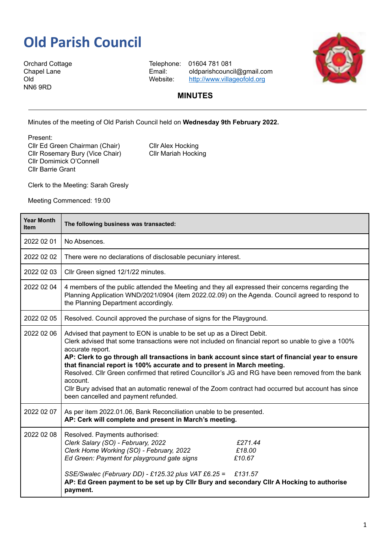## **Old Parish Council**

Orchard Cottage Telephone: 01604 781 081 NN6 9RD

Chapel Lane Email: oldparishcouncil@gmail.com Old Old Website: <http://www.villageofold.org>



## **MINUTES**

Minutes of the meeting of Old Parish Council held on **Wednesday 9th February 2022.**

Present:

Cllr Ed Green Chairman (Chair) Cllr Alex Hocking Cllr Rosemary Bury (Vice Chair) Cllr Mariah Hocking Cllr Domimick O'Connell Cllr Barrie Grant

Clerk to the Meeting: Sarah Gresly

Meeting Commenced: 19:00

| <b>Year Month</b><br><b>Item</b> | The following business was transacted:                                                                                                                                                                                                                                                                                                                                                                                                                                                                                                                                                                                                           |
|----------------------------------|--------------------------------------------------------------------------------------------------------------------------------------------------------------------------------------------------------------------------------------------------------------------------------------------------------------------------------------------------------------------------------------------------------------------------------------------------------------------------------------------------------------------------------------------------------------------------------------------------------------------------------------------------|
| 2022 02 01                       | No Absences.                                                                                                                                                                                                                                                                                                                                                                                                                                                                                                                                                                                                                                     |
| 2022 02 02                       | There were no declarations of disclosable pecuniary interest.                                                                                                                                                                                                                                                                                                                                                                                                                                                                                                                                                                                    |
| 2022 02 03                       | Cllr Green signed 12/1/22 minutes.                                                                                                                                                                                                                                                                                                                                                                                                                                                                                                                                                                                                               |
| 2022 02 04                       | 4 members of the public attended the Meeting and they all expressed their concerns regarding the<br>Planning Application WND/2021/0904 (item 2022.02.09) on the Agenda. Council agreed to respond to<br>the Planning Department accordingly.                                                                                                                                                                                                                                                                                                                                                                                                     |
| 2022 02 05                       | Resolved. Council approved the purchase of signs for the Playground.                                                                                                                                                                                                                                                                                                                                                                                                                                                                                                                                                                             |
| 2022 02 06                       | Advised that payment to EON is unable to be set up as a Direct Debit.<br>Clerk advised that some transactions were not included on financial report so unable to give a 100%<br>accurate report.<br>AP: Clerk to go through all transactions in bank account since start of financial year to ensure<br>that financial report is 100% accurate and to present in March meeting.<br>Resolved. Cllr Green confirmed that retired Councillor's JG and RG have been removed from the bank<br>account.<br>Cllr Bury advised that an automatic renewal of the Zoom contract had occurred but account has since<br>been cancelled and payment refunded. |
| 2022 02 07                       | As per item 2022.01.06, Bank Reconciliation unable to be presented.<br>AP: Cerk will complete and present in March's meeting.                                                                                                                                                                                                                                                                                                                                                                                                                                                                                                                    |
| 2022 02 08                       | Resolved. Payments authorised:<br>Clerk Salary (SO) - February, 2022<br>£271.44<br>Clerk Home Working (SO) - February, 2022<br>£18.00<br>Ed Green: Payment for playground gate signs<br>£10.67<br>SSE/Swalec (February DD) - £125.32 plus VAT £6.25 =<br>£131.57<br>AP: Ed Green payment to be set up by Cllr Bury and secondary Cllr A Hocking to authorise<br>payment.                                                                                                                                                                                                                                                                         |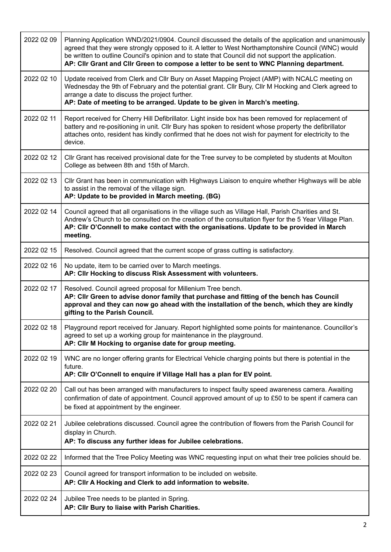| 2022 02 09 | Planning Application WND/2021/0904. Council discussed the details of the application and unanimously<br>agreed that they were strongly opposed to it. A letter to West Northamptonshire Council (WNC) would<br>be written to outline Council's opinion and to state that Council did not support the application.<br>AP: Cllr Grant and Cllr Green to compose a letter to be sent to WNC Planning department. |
|------------|---------------------------------------------------------------------------------------------------------------------------------------------------------------------------------------------------------------------------------------------------------------------------------------------------------------------------------------------------------------------------------------------------------------|
| 2022 02 10 | Update received from Clerk and Cllr Bury on Asset Mapping Project (AMP) with NCALC meeting on<br>Wednesday the 9th of February and the potential grant. Cllr Bury, Cllr M Hocking and Clerk agreed to<br>arrange a date to discuss the project further.<br>AP: Date of meeting to be arranged. Update to be given in March's meeting.                                                                         |
| 2022 02 11 | Report received for Cherry Hill Defibrillator. Light inside box has been removed for replacement of<br>battery and re-positioning in unit. Cllr Bury has spoken to resident whose property the defibrillator<br>attaches onto, resident has kindly confirmed that he does not wish for payment for electricity to the<br>device.                                                                              |
| 2022 02 12 | Cllr Grant has received provisional date for the Tree survey to be completed by students at Moulton<br>College as between 8th and 15th of March.                                                                                                                                                                                                                                                              |
| 2022 02 13 | CIIr Grant has been in communication with Highways Liaison to enquire whether Highways will be able<br>to assist in the removal of the village sign.<br>AP: Update to be provided in March meeting. (BG)                                                                                                                                                                                                      |
| 2022 02 14 | Council agreed that all organisations in the village such as Village Hall, Parish Charities and St.<br>Andrew's Church to be consulted on the creation of the consultation flyer for the 5 Year Village Plan.<br>AP: Cllr O'Connell to make contact with the organisations. Update to be provided in March<br>meeting.                                                                                        |
| 2022 02 15 | Resolved. Council agreed that the current scope of grass cutting is satisfactory.                                                                                                                                                                                                                                                                                                                             |
| 2022 02 16 | No update, item to be carried over to March meetings.<br>AP: Cllr Hocking to discuss Risk Assessment with volunteers.                                                                                                                                                                                                                                                                                         |
| 2022 02 17 | Resolved. Council agreed proposal for Millenium Tree bench.<br>AP: Cllr Green to advise donor family that purchase and fitting of the bench has Council<br>approval and they can now go ahead with the installation of the bench, which they are kindly<br>gifting to the Parish Council.                                                                                                                     |
| 2022 02 18 | Playground report received for January. Report highlighted some points for maintenance. Councillor's<br>agreed to set up a working group for maintenance in the playground.<br>AP: Cllr M Hocking to organise date for group meeting.                                                                                                                                                                         |
| 2022 02 19 | WNC are no longer offering grants for Electrical Vehicle charging points but there is potential in the<br>future.<br>AP: Cllr O'Connell to enquire if Village Hall has a plan for EV point.                                                                                                                                                                                                                   |
| 2022 02 20 | Call out has been arranged with manufacturers to inspect faulty speed awareness camera. Awaiting<br>confirmation of date of appointment. Council approved amount of up to £50 to be spent if camera can<br>be fixed at appointment by the engineer.                                                                                                                                                           |
| 2022 02 21 | Jubilee celebrations discussed. Council agree the contribution of flowers from the Parish Council for<br>display in Church.<br>AP: To discuss any further ideas for Jubilee celebrations.                                                                                                                                                                                                                     |
| 2022 02 22 | Informed that the Tree Policy Meeting was WNC requesting input on what their tree policies should be.                                                                                                                                                                                                                                                                                                         |
| 2022 02 23 | Council agreed for transport information to be included on website.<br>AP: Cllr A Hocking and Clerk to add information to website.                                                                                                                                                                                                                                                                            |
| 2022 02 24 | Jubilee Tree needs to be planted in Spring.<br>AP: Cllr Bury to liaise with Parish Charities.                                                                                                                                                                                                                                                                                                                 |